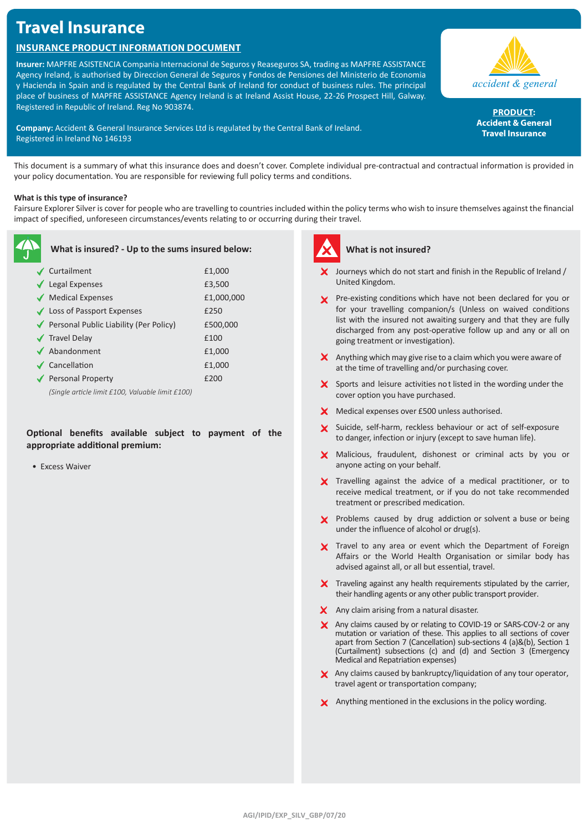# **Travel Insurance**

# **Insurance Product Information Document**

**Insurer:** MAPFRE ASISTENCIA Compania Internacional de Seguros y Reaseguros SA, trading as MAPFRE ASSISTANCE Agency Ireland, is authorised by Direccion General de Seguros y Fondos de Pensiones del Ministerio de Economia y Hacienda in Spain and is regulated by the Central Bank of Ireland for conduct of business rules. The principal place of business of MAPFRE ASSISTANCE Agency Ireland is at Ireland Assist House, 22-26 Prospect Hill, Galway. Registered in Republic of Ireland. Reg No 903874.



accident & general

PRODUCT: **Accident & General Travel Insurance**

This document is a summary of what this insurance does and doesn't cover. Complete individual pre-contractual and contractual information is provided in your policy documentation. You are responsible for reviewing full policy terms and conditions.

# **What is this type of insurance?**

Fairsure Explorer Silver is cover for people who are travelling to countries included within the policy terms who wish to insure themselves against the financial impact of specified, unforeseen circumstances/events relating to or occurring during their travel.

| What is insured? - Up to the sums insured below: |            |  |
|--------------------------------------------------|------------|--|
| ✔ Curtailment                                    | £1,000     |  |
| $\blacktriangleright$ Legal Expenses             | £3,500     |  |
| Medical Expenses                                 | £1,000,000 |  |
| ◆ Loss of Passport Expenses                      | £250       |  |
| ◆ Personal Public Liability (Per Policy)         | £500,000   |  |
| ✔ Travel Delay                                   | £100       |  |
| $\blacktriangleright$ Abandonment                | £1,000     |  |
| $\checkmark$ Cancellation                        | £1,000     |  |
| ◆ Personal Property                              | £200       |  |
| (Single article limit £100, Valuable limit £100) |            |  |

# **Optional benefits available subject to payment of the appropriate additional premium:**

• Excess Waiver



# **What is not insured?**

- $\boldsymbol{\times}$  Journeys which do not start and finish in the Republic of Ireland / United Kingdom.
- **X** Pre-existing conditions which have not been declared for you or for your travelling companion/s (Unless on waived conditions list with the insured not awaiting surgery and that they are fully discharged from any post-operative follow up and any or all on going treatment or investigation).
- $\boldsymbol{\times}$  Anything which may give rise to a claim which you were aware of at the time of travelling and/or purchasing cover.
- $\boldsymbol{\times}$  Sports and leisure activities not listed in the wording under the cover option you have purchased.
- **X** Medical expenses over £500 unless authorised.
- X Suicide, self-harm, reckless behaviour or act of self-exposure to danger, infection or injury (except to save human life).
- X Malicious, fraudulent, dishonest or criminal acts by you or anyone acting on your behalf.
- X Travelling against the advice of a medical practitioner, or to receive medical treatment, or if you do not take recommended treatment or prescribed medication.
- **X** Problems caused by drug addiction or solvent a buse or being under the influence of alcohol or drug(s).
- X Travel to any area or event which the Department of Foreign Affairs or the World Health Organisation or similar body has advised against all, or all but essential, travel.
- $\boldsymbol{\times}$  Traveling against any health requirements stipulated by the carrier, their handling agents or any other public transport provider.
- X Any claim arising from a natural disaster.
- X Any claims caused by or relating to COVID-19 or SARS-COV-2 or any mutation or variation of these. This applies to all sections of cover apart from Section 7 (Cancellation) sub-sections 4 (a)&(b), Section 1 (Curtailment) subsections (c) and (d) and Section 3 (Emergency Medical and Repatriation expenses)
- Any claims caused by bankruptcy/liquidation of any tour operator, travel agent or transportation company;
- X Anything mentioned in the exclusions in the policy wording.